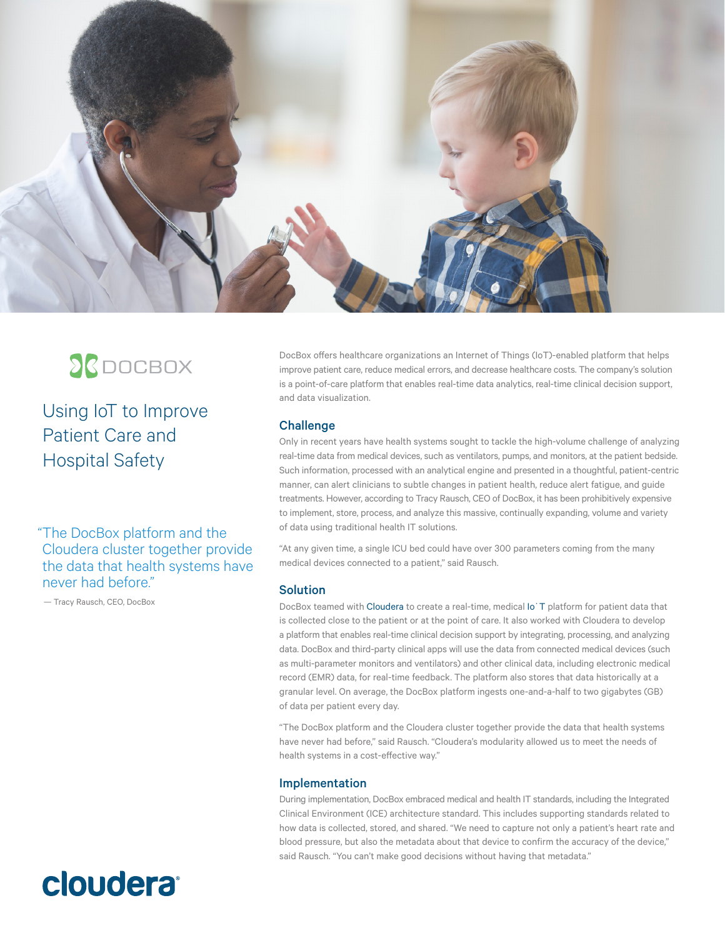

## **SC**DOCBOX

Using IoT to Improve Patient Care and Hospital Safety

"The DocBox platform and the Cloudera cluster together provide the data that health systems have never had before."

— Tracy Rausch, CEO, DocBox

**cloudera** 

DocBox offers healthcare organizations an Internet of Things (IoT)-enabled platform that helps improve patient care, reduce medical errors, and decrease healthcare costs. The company's solution is a point-of-care platform that enables real-time data analytics, real-time clinical decision support, and data visualization.

## **Challenge**

Only in recent years have health systems sought to tackle the high-volume challenge of analyzing real-time data from medical devices, such as ventilators, pumps, and monitors, at the patient bedside. Such information, processed with an analytical engine and presented in a thoughtful, patient-centric manner, can alert clinicians to subtle changes in patient health, reduce alert fatigue, and guide treatments. However, according to Tracy Rausch, CEO of DocBox, it has been prohibitively expensive to implement, store, process, and analyze this massive, continually expanding, volume and variety of data using traditional health IT solutions.

"At any given time, a single ICU bed could have over 300 parameters coming from the many medical devices connected to a patient," said Rausch.

## **Solution**

DocBox teamed with [Cloudera](http://www.cloudera.com/) to create a real-time, medical [Io˙T](https://www.cloudera.com/solutions/improve-products-and-services.html) platform for patient data that is collected close to the patient or at the point of care. It also worked with Cloudera to develop a platform that enables real-time clinical decision support by integrating, processing, and analyzing data. DocBox and third-party clinical apps will use the data from connected medical devices (such as multi-parameter monitors and ventilators) and other clinical data, including electronic medical record (EMR) data, for real-time feedback. The platform also stores that data historically at a granular level. On average, the DocBox platform ingests one-and-a-half to two gigabytes (GB) of data per patient every day.

"The DocBox platform and the Cloudera cluster together provide the data that health systems have never had before," said Rausch. "Cloudera's modularity allowed us to meet the needs of health systems in a cost-effective way."

## Implementation

During implementation, DocBox embraced medical and health IT standards, including the Integrated Clinical Environment (ICE) architecture standard. This includes supporting standards related to how data is collected, stored, and shared. "We need to capture not only a patient's heart rate and blood pressure, but also the metadata about that device to confirm the accuracy of the device," said Rausch. "You can't make good decisions without having that metadata."